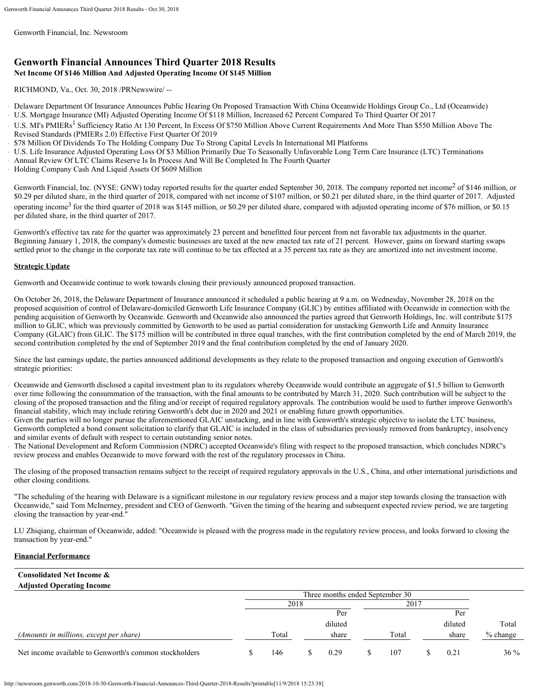Genworth Financial, Inc. Newsroom

# **Genworth Financial Announces Third Quarter 2018 Results Net Income Of \$146 Million And Adjusted Operating Income Of \$145 Million**

RICHMOND, Va., Oct. 30, 2018 /PRNewswire/ --

- Delaware Department Of Insurance Announces Public Hearing On Proposed Transaction With China Oceanwide Holdings Group Co., Ltd (Oceanwide)
- U.S. Mortgage Insurance (MI) Adjusted Operating Income Of \$118 Million, Increased 62 Percent Compared To Third Quarter Of 2017
- U.S. MI's PMIERs<sup>1</sup> Sufficiency Ratio At 130 Percent, In Excess Of \$750 Million Above Current Requirements And More Than \$550 Million Above The Revised Standards (PMIERs 2.0) Effective First Quarter Of 2019
- \$78 Million Of Dividends To The Holding Company Due To Strong Capital Levels In International MI Platforms
- U.S. Life Insurance Adjusted Operating Loss Of \$3 Million Primarily Due To Seasonally Unfavorable Long Term Care Insurance (LTC) Terminations
- Annual Review Of LTC Claims Reserve Is In Process And Will Be Completed In The Fourth Quarter
- Holding Company Cash And Liquid Assets Of \$609 Million

Genworth Financial, Inc. (NYSE: GNW) today reported results for the quarter ended September 30, 2018. The company reported net income<sup>2</sup> of \$146 million, or \$0.29 per diluted share, in the third quarter of 2018, compared with net income of \$107 million, or \$0.21 per diluted share, in the third quarter of 2017. Adjusted operating income<sup>3</sup> for the third quarter of 2018 was \$145 million, or \$0.29 per diluted share, compared with adjusted operating income of \$76 million, or \$0.15 per diluted share, in the third quarter of 2017.

Genworth's effective tax rate for the quarter was approximately 23 percent and benefitted four percent from net favorable tax adjustments in the quarter. Beginning January 1, 2018, the company's domestic businesses are taxed at the new enacted tax rate of 21 percent. However, gains on forward starting swaps settled prior to the change in the corporate tax rate will continue to be tax effected at a 35 percent tax rate as they are amortized into net investment income.

# **Strategic Update**

Genworth and Oceanwide continue to work towards closing their previously announced proposed transaction.

On October 26, 2018, the Delaware Department of Insurance announced it scheduled a public hearing at 9 a.m. on Wednesday, November 28, 2018 on the proposed acquisition of control of Delaware-domiciled Genworth Life Insurance Company (GLIC) by entities affiliated with Oceanwide in connection with the pending acquisition of Genworth by Oceanwide. Genworth and Oceanwide also announced the parties agreed that Genworth Holdings, Inc. will contribute \$175 million to GLIC, which was previously committed by Genworth to be used as partial consideration for unstacking Genworth Life and Annuity Insurance Company (GLAIC) from GLIC. The \$175 million will be contributed in three equal tranches, with the first contribution completed by the end of March 2019, the second contribution completed by the end of September 2019 and the final contribution completed by the end of January 2020.

Since the last earnings update, the parties announced additional developments as they relate to the proposed transaction and ongoing execution of Genworth's strategic priorities:

- Oceanwide and Genworth disclosed a capital investment plan to its regulators whereby Oceanwide would contribute an aggregate of \$1.5 billion to Genworth over time following the consummation of the transaction, with the final amounts to be contributed by March 31, 2020. Such contribution will be subject to the closing of the proposed transaction and the filing and/or receipt of required regulatory approvals. The contribution would be used to further improve Genworth's financial stability, which may include retiring Genworth's debt due in 2020 and 2021 or enabling future growth opportunities.
- Given the parties will no longer pursue the aforementioned GLAIC unstacking, and in line with Genworth's strategic objective to isolate the LTC business, Genworth completed a bond consent solicitation to clarify that GLAIC is included in the class of subsidiaries previously removed from bankruptcy, insolvency and similar events of default with respect to certain outstanding senior notes.
- The National Development and Reform Commission (NDRC) accepted Oceanwide's filing with respect to the proposed transaction, which concludes NDRC's review process and enables Oceanwide to move forward with the rest of the regulatory processes in China.

The closing of the proposed transaction remains subject to the receipt of required regulatory approvals in the U.S., China, and other international jurisdictions and other closing conditions.

"The scheduling of the hearing with Delaware is a significant milestone in our regulatory review process and a major step towards closing the transaction with Oceanwide," said Tom McInerney, president and CEO of Genworth. "Given the timing of the hearing and subsequent expected review period, we are targeting closing the transaction by year-end."

LU Zhiqiang, chairman of Oceanwide, added: "Oceanwide is pleased with the progress made in the regulatory review process, and looks forward to closing the transaction by year-end."

# **Financial Performance**

| <b>Consolidated Net Income &amp;</b>                   |      |       |  |                                 |  |       |  |         |            |
|--------------------------------------------------------|------|-------|--|---------------------------------|--|-------|--|---------|------------|
| <b>Adjusted Operating Income</b>                       |      |       |  |                                 |  |       |  |         |            |
|                                                        |      |       |  | Three months ended September 30 |  |       |  |         |            |
|                                                        | 2018 |       |  | 2017                            |  |       |  |         |            |
|                                                        |      |       |  | Per                             |  |       |  | Per     |            |
|                                                        |      |       |  | diluted                         |  |       |  | diluted | Total      |
| (Amounts in millions, except per share)                |      | Total |  | share                           |  | Total |  | share   | $%$ change |
| Net income available to Genworth's common stockholders |      | 146   |  | 0.29                            |  | 107   |  | 0.21    | $36\%$     |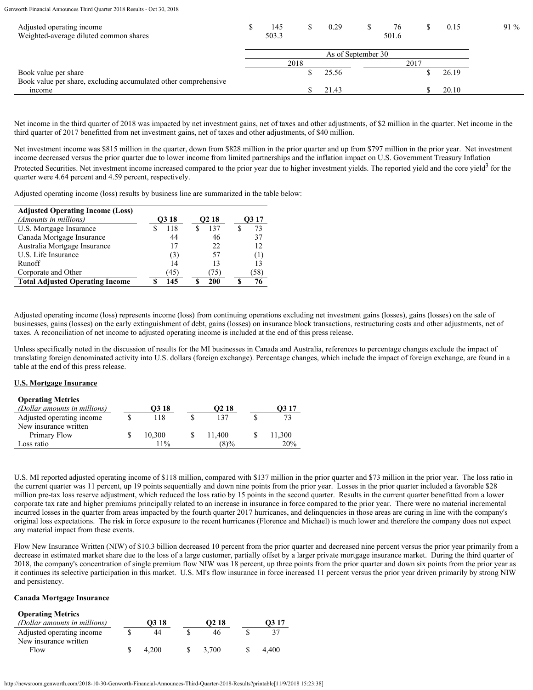|                    | 145<br>503.3 |  | 0.29  |  | 76<br>501.6 |  | 0.15  | $91\%$ |
|--------------------|--------------|--|-------|--|-------------|--|-------|--------|
| As of September 30 |              |  |       |  |             |  |       |        |
|                    |              |  |       |  |             |  |       |        |
|                    |              |  | 25.56 |  |             |  | 26.19 |        |
|                    |              |  |       |  |             |  |       |        |
|                    |              |  | 21.43 |  |             |  | 20.10 |        |
|                    |              |  | 2018  |  |             |  | 2017  |        |

Net income in the third quarter of 2018 was impacted by net investment gains, net of taxes and other adjustments, of \$2 million in the quarter. Net income in the third quarter of 2017 benefitted from net investment gains, net of taxes and other adjustments, of \$40 million.

Net investment income was \$815 million in the quarter, down from \$828 million in the prior quarter and up from \$797 million in the prior year. Net investment income decreased versus the prior quarter due to lower income from limited partnerships and the inflation impact on U.S. Government Treasury Inflation Protected Securities. Net investment income increased compared to the prior year due to higher investment yields. The reported yield and the core yield<sup>3</sup> for the quarter were 4.64 percent and 4.59 percent, respectively.

Adjusted operating income (loss) results by business line are summarized in the table below:

| <b>Adjusted Operating Income (Loss)</b> |                   |                   |                   |
|-----------------------------------------|-------------------|-------------------|-------------------|
| (Amounts in millions)                   | O <sub>3</sub> 18 | O <sub>2</sub> 18 | O <sub>3</sub> 17 |
| U.S. Mortgage Insurance                 | 118               | 137               | 73                |
| Canada Mortgage Insurance               | 44                | 46                | 37                |
| Australia Mortgage Insurance            |                   | 22                | 12                |
| U.S. Life Insurance                     | (3)               | 57                | (1)               |
| Runoff                                  | 14                |                   | 13                |
| Corporate and Other                     | (45)              | $\sqrt{2}$        | (58)              |
| <b>Total Adjusted Operating Income</b>  | 145               | 200               |                   |

Adjusted operating income (loss) represents income (loss) from continuing operations excluding net investment gains (losses), gains (losses) on the sale of businesses, gains (losses) on the early extinguishment of debt, gains (losses) on insurance block transactions, restructuring costs and other adjustments, net of taxes. A reconciliation of net income to adjusted operating income is included at the end of this press release.

Unless specifically noted in the discussion of results for the MI businesses in Canada and Australia, references to percentage changes exclude the impact of translating foreign denominated activity into U.S. dollars (foreign exchange). Percentage changes, which include the impact of foreign exchange, are found in a table at the end of this press release.

# **U.S. Mortgage Insurance**

| <b>Operating Metrics</b>     |                   |                   |        |
|------------------------------|-------------------|-------------------|--------|
| (Dollar amounts in millions) | O <sub>3</sub> 18 | O <sub>2</sub> 18 | O3 17  |
| Adjusted operating income    | 118               | 137               | 72     |
| New insurance written        |                   |                   |        |
| Primary Flow                 | 10,300            | 11.400            | 11,300 |
| Loss ratio                   | $11\%$            | $(8)\%$           | 20%    |

U.S. MI reported adjusted operating income of \$118 million, compared with \$137 million in the prior quarter and \$73 million in the prior year. The loss ratio in the current quarter was 11 percent, up 19 points sequentially and down nine points from the prior year. Losses in the prior quarter included a favorable \$28 million pre-tax loss reserve adjustment, which reduced the loss ratio by 15 points in the second quarter. Results in the current quarter benefitted from a lower corporate tax rate and higher premiums principally related to an increase in insurance in force compared to the prior year. There were no material incremental incurred losses in the quarter from areas impacted by the fourth quarter 2017 hurricanes, and delinquencies in those areas are curing in line with the company's original loss expectations. The risk in force exposure to the recent hurricanes (Florence and Michael) is much lower and therefore the company does not expect any material impact from these events.

Flow New Insurance Written (NIW) of \$10.3 billion decreased 10 percent from the prior quarter and decreased nine percent versus the prior year primarily from a decrease in estimated market share due to the loss of a large customer, partially offset by a larger private mortgage insurance market. During the third quarter of 2018, the company's concentration of single premium flow NIW was 18 percent, up three points from the prior quarter and down six points from the prior year as it continues its selective participation in this market. U.S. MI's flow insurance in force increased 11 percent versus the prior year driven primarily by strong NIW and persistency.

# **Canada Mortgage Insurance**

| <b>Operating Metrics</b>     |                   |                   |                   |
|------------------------------|-------------------|-------------------|-------------------|
| (Dollar amounts in millions) | O <sub>3</sub> 18 | O <sub>2</sub> 18 | O <sub>3</sub> 17 |
| Adjusted operating income    | 44                |                   |                   |
| New insurance written        |                   |                   |                   |
| Flow                         | 4.200             | 3.700             | 4.400             |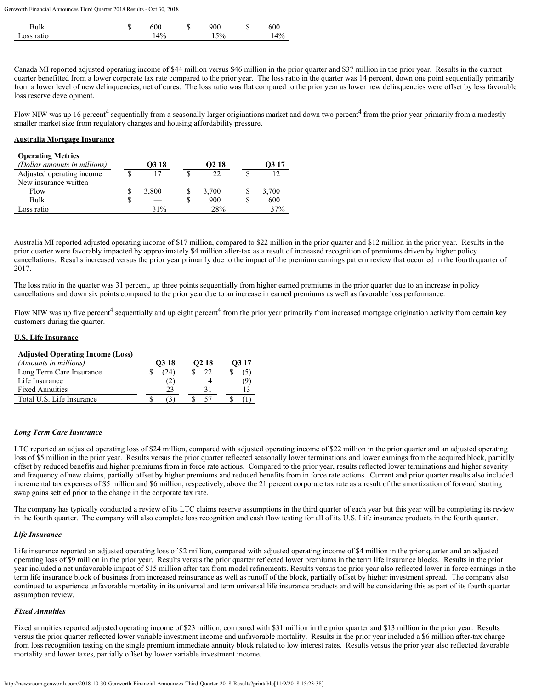| Bulk       | J٦ | 600    | w | 900    | J | 600 |
|------------|----|--------|---|--------|---|-----|
| Loss ratio |    | $14\%$ |   | $15\%$ |   | 4%  |

Canada MI reported adjusted operating income of \$44 million versus \$46 million in the prior quarter and \$37 million in the prior year. Results in the current quarter benefitted from a lower corporate tax rate compared to the prior year. The loss ratio in the quarter was 14 percent, down one point sequentially primarily from a lower level of new delinquencies, net of cures. The loss ratio was flat compared to the prior year as lower new delinquencies were offset by less favorable loss reserve development.

Flow NIW was up 16 percent<sup>4</sup> sequentially from a seasonally larger originations market and down two percent<sup>4</sup> from the prior year primarily from a modestly smaller market size from regulatory changes and housing affordability pressure.

#### **Australia Mortgage Insurance**

| <b>Operating Metrics</b>     |       |                   |                   |
|------------------------------|-------|-------------------|-------------------|
| (Dollar amounts in millions) | O3 18 | O <sub>2</sub> 18 | O <sub>3</sub> 17 |
| Adjusted operating income    |       | 22                |                   |
| New insurance written        |       |                   |                   |
| Flow                         | 3,800 | 3,700             | 3,700             |
| Bulk                         |       | 900               | 600               |
| Loss ratio                   | 31%   | 28%               | 37%               |

Australia MI reported adjusted operating income of \$17 million, compared to \$22 million in the prior quarter and \$12 million in the prior year. Results in the prior quarter were favorably impacted by approximately \$4 million after-tax as a result of increased recognition of premiums driven by higher policy cancellations. Results increased versus the prior year primarily due to the impact of the premium earnings pattern review that occurred in the fourth quarter of 2017.

The loss ratio in the quarter was 31 percent, up three points sequentially from higher earned premiums in the prior quarter due to an increase in policy cancellations and down six points compared to the prior year due to an increase in earned premiums as well as favorable loss performance.

Flow NIW was up five percent<sup>4</sup> sequentially and up eight percent<sup>4</sup> from the prior year primarily from increased mortgage origination activity from certain key customers during the quarter.

# **U.S. Life Insurance**

#### **Adjusted Operating Income (Loss)**

| <i>(Amounts in millions)</i> | O <sub>3</sub> 18 | O <sub>2</sub> 18 |     |
|------------------------------|-------------------|-------------------|-----|
| Long Term Care Insurance     | (24)              |                   | (5) |
| Life Insurance               | (2)               |                   | (9) |
| <b>Fixed Annuities</b>       | 23                |                   |     |
| Total U.S. Life Insurance    |                   |                   |     |

# *Long Term Care Insurance*

LTC reported an adjusted operating loss of \$24 million, compared with adjusted operating income of \$22 million in the prior quarter and an adjusted operating loss of \$5 million in the prior year. Results versus the prior quarter reflected seasonally lower terminations and lower earnings from the acquired block, partially offset by reduced benefits and higher premiums from in force rate actions. Compared to the prior year, results reflected lower terminations and higher severity and frequency of new claims, partially offset by higher premiums and reduced benefits from in force rate actions. Current and prior quarter results also included incremental tax expenses of \$5 million and \$6 million, respectively, above the 21 percent corporate tax rate as a result of the amortization of forward starting swap gains settled prior to the change in the corporate tax rate.

The company has typically conducted a review of its LTC claims reserve assumptions in the third quarter of each year but this year will be completing its review in the fourth quarter. The company will also complete loss recognition and cash flow testing for all of its U.S. Life insurance products in the fourth quarter.

#### *Life Insurance*

Life insurance reported an adjusted operating loss of \$2 million, compared with adjusted operating income of \$4 million in the prior quarter and an adjusted operating loss of \$9 million in the prior year. Results versus the prior quarter reflected lower premiums in the term life insurance blocks. Results in the prior year included a net unfavorable impact of \$15 million after-tax from model refinements. Results versus the prior year also reflected lower in force earnings in the term life insurance block of business from increased reinsurance as well as runoff of the block, partially offset by higher investment spread. The company also continued to experience unfavorable mortality in its universal and term universal life insurance products and will be considering this as part of its fourth quarter assumption review.

#### *Fixed Annuities*

Fixed annuities reported adjusted operating income of \$23 million, compared with \$31 million in the prior quarter and \$13 million in the prior year. Results versus the prior quarter reflected lower variable investment income and unfavorable mortality. Results in the prior year included a \$6 million after-tax charge from loss recognition testing on the single premium immediate annuity block related to low interest rates. Results versus the prior year also reflected favorable mortality and lower taxes, partially offset by lower variable investment income.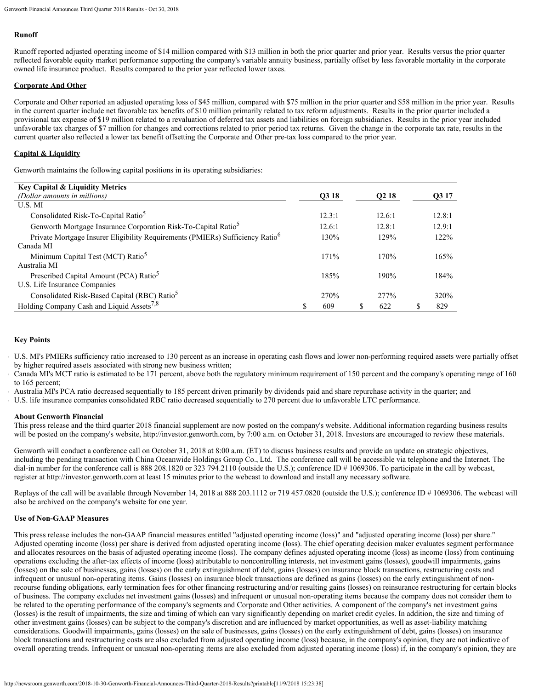# **Runoff**

Runoff reported adjusted operating income of \$14 million compared with \$13 million in both the prior quarter and prior year. Results versus the prior quarter reflected favorable equity market performance supporting the company's variable annuity business, partially offset by less favorable mortality in the corporate owned life insurance product. Results compared to the prior year reflected lower taxes.

# **Corporate And Other**

Corporate and Other reported an adjusted operating loss of \$45 million, compared with \$75 million in the prior quarter and \$58 million in the prior year. Results in the current quarter include net favorable tax benefits of \$10 million primarily related to tax reform adjustments. Results in the prior quarter included a provisional tax expense of \$19 million related to a revaluation of deferred tax assets and liabilities on foreign subsidiaries. Results in the prior year included unfavorable tax charges of \$7 million for changes and corrections related to prior period tax returns. Given the change in the corporate tax rate, results in the current quarter also reflected a lower tax benefit offsetting the Corporate and Other pre-tax loss compared to the prior year.

# **Capital & Liquidity**

Genworth maintains the following capital positions in its operating subsidiaries:

| <b>Key Capital &amp; Liquidity Metrics</b>                                                |   |        |                   |   |        |
|-------------------------------------------------------------------------------------------|---|--------|-------------------|---|--------|
| (Dollar amounts in millions)                                                              |   | Q3 18  | Q <sub>2</sub> 18 |   | Q3 17  |
| U.S. MI                                                                                   |   |        |                   |   |        |
| Consolidated Risk-To-Capital Ratio <sup>5</sup>                                           |   | 12.3:1 | 12.6:1            |   | 12.8:1 |
| Genworth Mortgage Insurance Corporation Risk-To-Capital Ratio <sup>5</sup>                |   | 12.6:1 | 12.8:1            |   | 12.9:1 |
| Private Mortgage Insurer Eligibility Requirements (PMIERs) Sufficiency Ratio <sup>6</sup> |   | 130%   | 129%              |   | 122%   |
| Canada MI                                                                                 |   |        |                   |   |        |
| Minimum Capital Test (MCT) Ratio <sup>5</sup>                                             |   | 171%   | 170%              |   | 165%   |
| Australia MI                                                                              |   |        |                   |   |        |
| Prescribed Capital Amount (PCA) Ratio <sup>5</sup>                                        |   | 185%   | 190%              |   | 184%   |
| U.S. Life Insurance Companies                                                             |   |        |                   |   |        |
| Consolidated Risk-Based Capital (RBC) Ratio <sup>5</sup>                                  |   | 270%   | 277%              |   | 320%   |
| Holding Company Cash and Liquid Assets <sup>7,8</sup>                                     | S | 609    | \$<br>622         | S | 829    |

# **Key Points**

U.S. MI's PMIERs sufficiency ratio increased to 130 percent as an increase in operating cash flows and lower non-performing required assets were partially offset by higher required assets associated with strong new business written;

Canada MI's MCT ratio is estimated to be 171 percent, above both the regulatory minimum requirement of 150 percent and the company's operating range of 160 to 165 percent;

Australia MI's PCA ratio decreased sequentially to 185 percent driven primarily by dividends paid and share repurchase activity in the quarter; and

U.S. life insurance companies consolidated RBC ratio decreased sequentially to 270 percent due to unfavorable LTC performance.

# **About Genworth Financial**

This press release and the third quarter 2018 financial supplement are now posted on the company's website. Additional information regarding business results will be posted on the company's website, http://investor.genworth.com, by 7:00 a.m. on October 31, 2018. Investors are encouraged to review these materials.

Genworth will conduct a conference call on October 31, 2018 at 8:00 a.m. (ET) to discuss business results and provide an update on strategic objectives, including the pending transaction with China Oceanwide Holdings Group Co., Ltd. The conference call will be accessible via telephone and the Internet. The dial-in number for the conference call is 888 208.1820 or 323 794.2110 (outside the U.S.); conference ID # 1069306. To participate in the call by webcast, register at http://investor.genworth.com at least 15 minutes prior to the webcast to download and install any necessary software.

Replays of the call will be available through November 14, 2018 at 888 203.1112 or 719 457.0820 (outside the U.S.); conference ID # 1069306. The webcast will also be archived on the company's website for one year.

# **Use of Non-GAAP Measures**

This press release includes the non-GAAP financial measures entitled "adjusted operating income (loss)" and "adjusted operating income (loss) per share." Adjusted operating income (loss) per share is derived from adjusted operating income (loss). The chief operating decision maker evaluates segment performance and allocates resources on the basis of adjusted operating income (loss). The company defines adjusted operating income (loss) as income (loss) from continuing operations excluding the after-tax effects of income (loss) attributable to noncontrolling interests, net investment gains (losses), goodwill impairments, gains (losses) on the sale of businesses, gains (losses) on the early extinguishment of debt, gains (losses) on insurance block transactions, restructuring costs and infrequent or unusual non-operating items. Gains (losses) on insurance block transactions are defined as gains (losses) on the early extinguishment of nonrecourse funding obligations, early termination fees for other financing restructuring and/or resulting gains (losses) on reinsurance restructuring for certain blocks of business. The company excludes net investment gains (losses) and infrequent or unusual non-operating items because the company does not consider them to be related to the operating performance of the company's segments and Corporate and Other activities. A component of the company's net investment gains (losses) is the result of impairments, the size and timing of which can vary significantly depending on market credit cycles. In addition, the size and timing of other investment gains (losses) can be subject to the company's discretion and are influenced by market opportunities, as well as asset-liability matching considerations. Goodwill impairments, gains (losses) on the sale of businesses, gains (losses) on the early extinguishment of debt, gains (losses) on insurance block transactions and restructuring costs are also excluded from adjusted operating income (loss) because, in the company's opinion, they are not indicative of overall operating trends. Infrequent or unusual non-operating items are also excluded from adjusted operating income (loss) if, in the company's opinion, they are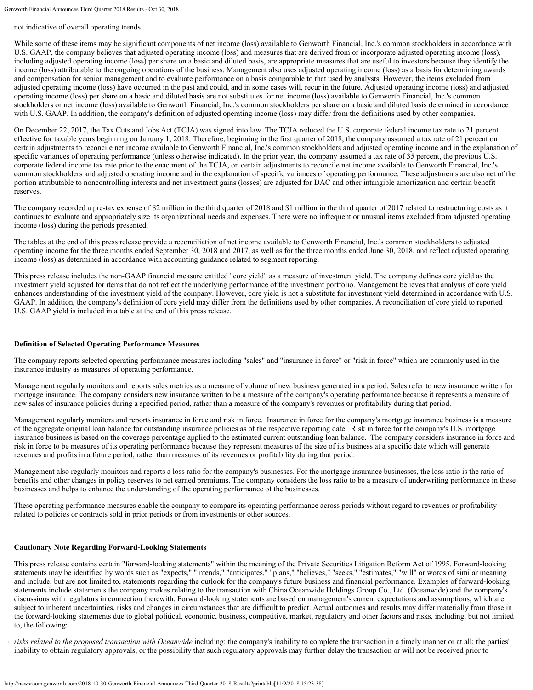not indicative of overall operating trends.

While some of these items may be significant components of net income (loss) available to Genworth Financial, Inc.'s common stockholders in accordance with U.S. GAAP, the company believes that adjusted operating income (loss) and measures that are derived from or incorporate adjusted operating income (loss), including adjusted operating income (loss) per share on a basic and diluted basis, are appropriate measures that are useful to investors because they identify the income (loss) attributable to the ongoing operations of the business. Management also uses adjusted operating income (loss) as a basis for determining awards and compensation for senior management and to evaluate performance on a basis comparable to that used by analysts. However, the items excluded from adjusted operating income (loss) have occurred in the past and could, and in some cases will, recur in the future. Adjusted operating income (loss) and adjusted operating income (loss) per share on a basic and diluted basis are not substitutes for net income (loss) available to Genworth Financial, Inc.'s common stockholders or net income (loss) available to Genworth Financial, Inc.'s common stockholders per share on a basic and diluted basis determined in accordance with U.S. GAAP. In addition, the company's definition of adjusted operating income (loss) may differ from the definitions used by other companies.

On December 22, 2017, the Tax Cuts and Jobs Act (TCJA) was signed into law. The TCJA reduced the U.S. corporate federal income tax rate to 21 percent effective for taxable years beginning on January 1, 2018. Therefore, beginning in the first quarter of 2018, the company assumed a tax rate of 21 percent on certain adjustments to reconcile net income available to Genworth Financial, Inc.'s common stockholders and adjusted operating income and in the explanation of specific variances of operating performance (unless otherwise indicated). In the prior year, the company assumed a tax rate of 35 percent, the previous U.S. corporate federal income tax rate prior to the enactment of the TCJA, on certain adjustments to reconcile net income available to Genworth Financial, Inc.'s common stockholders and adjusted operating income and in the explanation of specific variances of operating performance. These adjustments are also net of the portion attributable to noncontrolling interests and net investment gains (losses) are adjusted for DAC and other intangible amortization and certain benefit reserves.

The company recorded a pre-tax expense of \$2 million in the third quarter of 2018 and \$1 million in the third quarter of 2017 related to restructuring costs as it continues to evaluate and appropriately size its organizational needs and expenses. There were no infrequent or unusual items excluded from adjusted operating income (loss) during the periods presented.

The tables at the end of this press release provide a reconciliation of net income available to Genworth Financial, Inc.'s common stockholders to adjusted operating income for the three months ended September 30, 2018 and 2017, as well as for the three months ended June 30, 2018, and reflect adjusted operating income (loss) as determined in accordance with accounting guidance related to segment reporting.

This press release includes the non-GAAP financial measure entitled "core yield" as a measure of investment yield. The company defines core yield as the investment yield adjusted for items that do not reflect the underlying performance of the investment portfolio. Management believes that analysis of core yield enhances understanding of the investment yield of the company. However, core yield is not a substitute for investment yield determined in accordance with U.S. GAAP. In addition, the company's definition of core yield may differ from the definitions used by other companies. A reconciliation of core yield to reported U.S. GAAP yield is included in a table at the end of this press release.

# **Definition of Selected Operating Performance Measures**

The company reports selected operating performance measures including "sales" and "insurance in force" or "risk in force" which are commonly used in the insurance industry as measures of operating performance.

Management regularly monitors and reports sales metrics as a measure of volume of new business generated in a period. Sales refer to new insurance written for mortgage insurance. The company considers new insurance written to be a measure of the company's operating performance because it represents a measure of new sales of insurance policies during a specified period, rather than a measure of the company's revenues or profitability during that period.

Management regularly monitors and reports insurance in force and risk in force. Insurance in force for the company's mortgage insurance business is a measure of the aggregate original loan balance for outstanding insurance policies as of the respective reporting date. Risk in force for the company's U.S. mortgage insurance business is based on the coverage percentage applied to the estimated current outstanding loan balance. The company considers insurance in force and risk in force to be measures of its operating performance because they represent measures of the size of its business at a specific date which will generate revenues and profits in a future period, rather than measures of its revenues or profitability during that period.

Management also regularly monitors and reports a loss ratio for the company's businesses. For the mortgage insurance businesses, the loss ratio is the ratio of benefits and other changes in policy reserves to net earned premiums. The company considers the loss ratio to be a measure of underwriting performance in these businesses and helps to enhance the understanding of the operating performance of the businesses.

These operating performance measures enable the company to compare its operating performance across periods without regard to revenues or profitability related to policies or contracts sold in prior periods or from investments or other sources.

# **Cautionary Note Regarding Forward-Looking Statements**

This press release contains certain "forward-looking statements" within the meaning of the Private Securities Litigation Reform Act of 1995. Forward-looking statements may be identified by words such as "expects," "intends," "anticipates," "plans," "believes," "seeks," "estimates," "will" or words of similar meaning and include, but are not limited to, statements regarding the outlook for the company's future business and financial performance. Examples of forward-looking statements include statements the company makes relating to the transaction with China Oceanwide Holdings Group Co., Ltd. (Oceanwide) and the company's discussions with regulators in connection therewith. Forward-looking statements are based on management's current expectations and assumptions, which are subject to inherent uncertainties, risks and changes in circumstances that are difficult to predict. Actual outcomes and results may differ materially from those in the forward-looking statements due to global political, economic, business, competitive, market, regulatory and other factors and risks, including, but not limited to, the following:

*risks related to the proposed transaction with Oceanwide* including: the company's inability to complete the transaction in a timely manner or at all; the parties' inability to obtain regulatory approvals, or the possibility that such regulatory approvals may further delay the transaction or will not be received prior to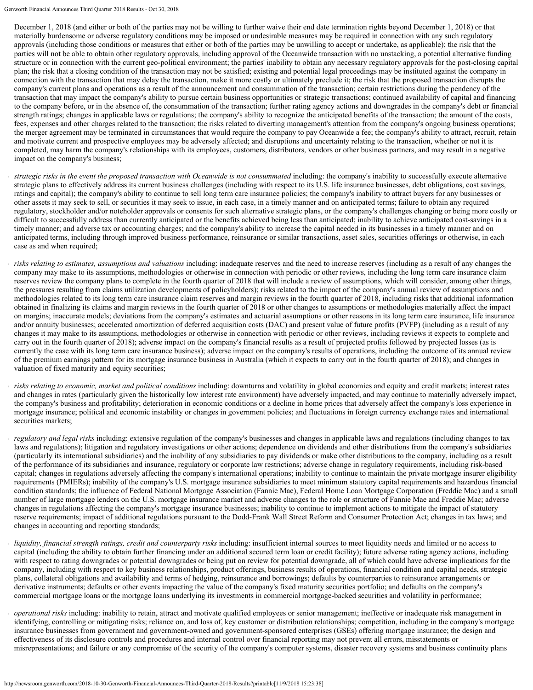December 1, 2018 (and either or both of the parties may not be willing to further waive their end date termination rights beyond December 1, 2018) or that materially burdensome or adverse regulatory conditions may be imposed or undesirable measures may be required in connection with any such regulatory approvals (including those conditions or measures that either or both of the parties may be unwilling to accept or undertake, as applicable); the risk that the parties will not be able to obtain other regulatory approvals, including approval of the Oceanwide transaction with no unstacking, a potential alternative funding structure or in connection with the current geo-political environment; the parties' inability to obtain any necessary regulatory approvals for the post-closing capital plan; the risk that a closing condition of the transaction may not be satisfied; existing and potential legal proceedings may be instituted against the company in connection with the transaction that may delay the transaction, make it more costly or ultimately preclude it; the risk that the proposed transaction disrupts the company's current plans and operations as a result of the announcement and consummation of the transaction; certain restrictions during the pendency of the transaction that may impact the company's ability to pursue certain business opportunities or strategic transactions; continued availability of capital and financing to the company before, or in the absence of, the consummation of the transaction; further rating agency actions and downgrades in the company's debt or financial strength ratings; changes in applicable laws or regulations; the company's ability to recognize the anticipated benefits of the transaction; the amount of the costs, fees, expenses and other charges related to the transaction; the risks related to diverting management's attention from the company's ongoing business operations; the merger agreement may be terminated in circumstances that would require the company to pay Oceanwide a fee; the company's ability to attract, recruit, retain and motivate current and prospective employees may be adversely affected; and disruptions and uncertainty relating to the transaction, whether or not it is completed, may harm the company's relationships with its employees, customers, distributors, vendors or other business partners, and may result in a negative impact on the company's business;

- *strategic risks in the event the proposed transaction with Oceanwide is not consummated* including: the company's inability to successfully execute alternative strategic plans to effectively address its current business challenges (including with respect to its U.S. life insurance businesses, debt obligations, cost savings, ratings and capital); the company's ability to continue to sell long term care insurance policies; the company's inability to attract buyers for any businesses or other assets it may seek to sell, or securities it may seek to issue, in each case, in a timely manner and on anticipated terms; failure to obtain any required regulatory, stockholder and/or noteholder approvals or consents for such alternative strategic plans, or the company's challenges changing or being more costly or difficult to successfully address than currently anticipated or the benefits achieved being less than anticipated; inability to achieve anticipated cost-savings in a timely manner; and adverse tax or accounting charges; and the company's ability to increase the capital needed in its businesses in a timely manner and on anticipated terms, including through improved business performance, reinsurance or similar transactions, asset sales, securities offerings or otherwise, in each case as and when required;
- *risks relating to estimates, assumptions and valuations* including: inadequate reserves and the need to increase reserves (including as a result of any changes the company may make to its assumptions, methodologies or otherwise in connection with periodic or other reviews, including the long term care insurance claim reserves review the company plans to complete in the fourth quarter of 2018 that will include a review of assumptions, which will consider, among other things, the pressures resulting from claims utilization developments of policyholders); risks related to the impact of the company's annual review of assumptions and methodologies related to its long term care insurance claim reserves and margin reviews in the fourth quarter of 2018, including risks that additional information obtained in finalizing its claims and margin reviews in the fourth quarter of 2018 or other changes to assumptions or methodologies materially affect the impact on margins; inaccurate models; deviations from the company's estimates and actuarial assumptions or other reasons in its long term care insurance, life insurance and/or annuity businesses; accelerated amortization of deferred acquisition costs (DAC) and present value of future profits (PVFP) (including as a result of any changes it may make to its assumptions, methodologies or otherwise in connection with periodic or other reviews, including reviews it expects to complete and carry out in the fourth quarter of 2018); adverse impact on the company's financial results as a result of projected profits followed by projected losses (as is currently the case with its long term care insurance business); adverse impact on the company's results of operations, including the outcome of its annual review of the premium earnings pattern for its mortgage insurance business in Australia (which it expects to carry out in the fourth quarter of 2018); and changes in valuation of fixed maturity and equity securities;
- *risks relating to economic, market and political conditions* including: downturns and volatility in global economies and equity and credit markets; interest rates and changes in rates (particularly given the historically low interest rate environment) have adversely impacted, and may continue to materially adversely impact, the company's business and profitability; deterioration in economic conditions or a decline in home prices that adversely affect the company's loss experience in mortgage insurance; political and economic instability or changes in government policies; and fluctuations in foreign currency exchange rates and international securities markets;
- *regulatory and legal risks* including: extensive regulation of the company's businesses and changes in applicable laws and regulations (including changes to tax laws and regulations); litigation and regulatory investigations or other actions; dependence on dividends and other distributions from the company's subsidiaries (particularly its international subsidiaries) and the inability of any subsidiaries to pay dividends or make other distributions to the company, including as a result of the performance of its subsidiaries and insurance, regulatory or corporate law restrictions; adverse change in regulatory requirements, including risk-based capital; changes in regulations adversely affecting the company's international operations; inability to continue to maintain the private mortgage insurer eligibility requirements (PMIERs); inability of the company's U.S. mortgage insurance subsidiaries to meet minimum statutory capital requirements and hazardous financial condition standards; the influence of Federal National Mortgage Association (Fannie Mae), Federal Home Loan Mortgage Corporation (Freddie Mac) and a small number of large mortgage lenders on the U.S. mortgage insurance market and adverse changes to the role or structure of Fannie Mae and Freddie Mac; adverse changes in regulations affecting the company's mortgage insurance businesses; inability to continue to implement actions to mitigate the impact of statutory reserve requirements; impact of additional regulations pursuant to the Dodd-Frank Wall Street Reform and Consumer Protection Act; changes in tax laws; and changes in accounting and reporting standards;
- *liquidity, financial strength ratings, credit and counterparty risks* including: insufficient internal sources to meet liquidity needs and limited or no access to capital (including the ability to obtain further financing under an additional secured term loan or credit facility); future adverse rating agency actions, including with respect to rating downgrades or potential downgrades or being put on review for potential downgrade, all of which could have adverse implications for the company, including with respect to key business relationships, product offerings, business results of operations, financial condition and capital needs, strategic plans, collateral obligations and availability and terms of hedging, reinsurance and borrowings; defaults by counterparties to reinsurance arrangements or derivative instruments; defaults or other events impacting the value of the company's fixed maturity securities portfolio; and defaults on the company's commercial mortgage loans or the mortgage loans underlying its investments in commercial mortgage-backed securities and volatility in performance;
- *operational risks* including: inability to retain, attract and motivate qualified employees or senior management; ineffective or inadequate risk management in identifying, controlling or mitigating risks; reliance on, and loss of, key customer or distribution relationships; competition, including in the company's mortgage insurance businesses from government and government-owned and government-sponsored enterprises (GSEs) offering mortgage insurance; the design and effectiveness of its disclosure controls and procedures and internal control over financial reporting may not prevent all errors, misstatements or misrepresentations; and failure or any compromise of the security of the company's computer systems, disaster recovery systems and business continuity plans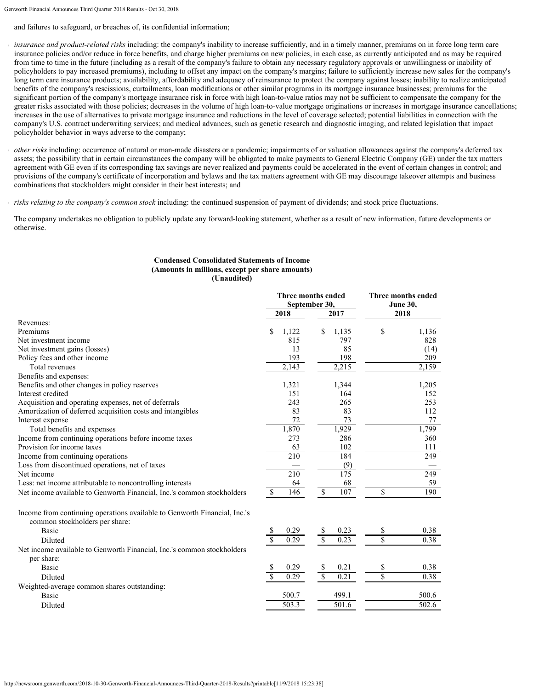and failures to safeguard, or breaches of, its confidential information;

*insurance and product-related risks* including: the company's inability to increase sufficiently, and in a timely manner, premiums on in force long term care insurance policies and/or reduce in force benefits, and charge higher premiums on new policies, in each case, as currently anticipated and as may be required from time to time in the future (including as a result of the company's failure to obtain any necessary regulatory approvals or unwillingness or inability of policyholders to pay increased premiums), including to offset any impact on the company's margins; failure to sufficiently increase new sales for the company's long term care insurance products; availability, affordability and adequacy of reinsurance to protect the company against losses; inability to realize anticipated benefits of the company's rescissions, curtailments, loan modifications or other similar programs in its mortgage insurance businesses; premiums for the significant portion of the company's mortgage insurance risk in force with high loan-to-value ratios may not be sufficient to compensate the company for the greater risks associated with those policies; decreases in the volume of high loan-to-value mortgage originations or increases in mortgage insurance cancellations; increases in the use of alternatives to private mortgage insurance and reductions in the level of coverage selected; potential liabilities in connection with the company's U.S. contract underwriting services; and medical advances, such as genetic research and diagnostic imaging, and related legislation that impact policyholder behavior in ways adverse to the company;

*other risks* including: occurrence of natural or man-made disasters or a pandemic; impairments of or valuation allowances against the company's deferred tax assets; the possibility that in certain circumstances the company will be obligated to make payments to General Electric Company (GE) under the tax matters agreement with GE even if its corresponding tax savings are never realized and payments could be accelerated in the event of certain changes in control; and provisions of the company's certificate of incorporation and bylaws and the tax matters agreement with GE may discourage takeover attempts and business combinations that stockholders might consider in their best interests; and

*risks relating to the company's common stock* including: the continued suspension of payment of dividends; and stock price fluctuations.

The company undertakes no obligation to publicly update any forward-looking statement, whether as a result of new information, future developments or otherwise.

#### **Condensed Consolidated Statements of Income (Amounts in millions, except per share amounts) (Unaudited)**

| 2018<br>2017<br>2018<br>\$<br>\$<br>1,122<br>\$<br>1,135<br>1,136<br>815<br>797<br>828<br>13<br>85<br>(14)<br>193<br>198<br>209<br>Total revenues<br>2,215<br>2,143<br>2,159<br>Benefits and expenses:<br>1,321<br>1,344<br>1,205<br>151<br>164<br>152<br>Acquisition and operating expenses, net of deferrals<br>243<br>265<br>253<br>Amortization of deferred acquisition costs and intangibles<br>83<br>83<br>112<br>72<br>73<br>77<br>1,870<br>1,929<br>1,799<br>Total benefits and expenses<br>Income from continuing operations before income taxes<br>273<br>286<br>360<br>63<br>102<br>111<br>210<br>184<br>Income from continuing operations<br>249<br>(9)<br>Loss from discontinued operations, net of taxes<br>175<br>210<br>249<br>68<br>59<br>64<br>$\overline{\mathcal{S}}$<br>107<br>\$<br>146<br>190<br>Net income available to Genworth Financial, Inc.'s common stockholders<br><sup>\$</sup><br>common stockholders per share:<br>0.29<br>0.23<br>\$<br>0.38<br>Basic<br>S<br>S<br>$\sqrt{S}$<br>$\overline{\mathcal{S}}$<br>\$<br>0.29<br>0.23<br>0.38<br>Diluted<br>per share:<br>0.29<br>0.21<br>\$<br>0.38<br>Basic<br>\$<br>S<br>\$<br>$\mathbf{s}$<br>0.29<br>\$<br>0.21<br>0.38<br>Diluted<br>500.7<br>499.1<br>500.6<br><b>Basic</b><br>503.3<br>501.6<br>502.6<br>Diluted |                                                                           | Three months ended<br>September 30, | Three months ended<br><b>June 30,</b> |  |  |
|-------------------------------------------------------------------------------------------------------------------------------------------------------------------------------------------------------------------------------------------------------------------------------------------------------------------------------------------------------------------------------------------------------------------------------------------------------------------------------------------------------------------------------------------------------------------------------------------------------------------------------------------------------------------------------------------------------------------------------------------------------------------------------------------------------------------------------------------------------------------------------------------------------------------------------------------------------------------------------------------------------------------------------------------------------------------------------------------------------------------------------------------------------------------------------------------------------------------------------------------------------------------------------------------------------|---------------------------------------------------------------------------|-------------------------------------|---------------------------------------|--|--|
|                                                                                                                                                                                                                                                                                                                                                                                                                                                                                                                                                                                                                                                                                                                                                                                                                                                                                                                                                                                                                                                                                                                                                                                                                                                                                                       |                                                                           |                                     |                                       |  |  |
|                                                                                                                                                                                                                                                                                                                                                                                                                                                                                                                                                                                                                                                                                                                                                                                                                                                                                                                                                                                                                                                                                                                                                                                                                                                                                                       | Revenues:                                                                 |                                     |                                       |  |  |
|                                                                                                                                                                                                                                                                                                                                                                                                                                                                                                                                                                                                                                                                                                                                                                                                                                                                                                                                                                                                                                                                                                                                                                                                                                                                                                       | Premiums                                                                  |                                     |                                       |  |  |
|                                                                                                                                                                                                                                                                                                                                                                                                                                                                                                                                                                                                                                                                                                                                                                                                                                                                                                                                                                                                                                                                                                                                                                                                                                                                                                       | Net investment income                                                     |                                     |                                       |  |  |
|                                                                                                                                                                                                                                                                                                                                                                                                                                                                                                                                                                                                                                                                                                                                                                                                                                                                                                                                                                                                                                                                                                                                                                                                                                                                                                       | Net investment gains (losses)                                             |                                     |                                       |  |  |
|                                                                                                                                                                                                                                                                                                                                                                                                                                                                                                                                                                                                                                                                                                                                                                                                                                                                                                                                                                                                                                                                                                                                                                                                                                                                                                       | Policy fees and other income                                              |                                     |                                       |  |  |
|                                                                                                                                                                                                                                                                                                                                                                                                                                                                                                                                                                                                                                                                                                                                                                                                                                                                                                                                                                                                                                                                                                                                                                                                                                                                                                       |                                                                           |                                     |                                       |  |  |
|                                                                                                                                                                                                                                                                                                                                                                                                                                                                                                                                                                                                                                                                                                                                                                                                                                                                                                                                                                                                                                                                                                                                                                                                                                                                                                       |                                                                           |                                     |                                       |  |  |
|                                                                                                                                                                                                                                                                                                                                                                                                                                                                                                                                                                                                                                                                                                                                                                                                                                                                                                                                                                                                                                                                                                                                                                                                                                                                                                       | Benefits and other changes in policy reserves                             |                                     |                                       |  |  |
|                                                                                                                                                                                                                                                                                                                                                                                                                                                                                                                                                                                                                                                                                                                                                                                                                                                                                                                                                                                                                                                                                                                                                                                                                                                                                                       | Interest credited                                                         |                                     |                                       |  |  |
|                                                                                                                                                                                                                                                                                                                                                                                                                                                                                                                                                                                                                                                                                                                                                                                                                                                                                                                                                                                                                                                                                                                                                                                                                                                                                                       |                                                                           |                                     |                                       |  |  |
|                                                                                                                                                                                                                                                                                                                                                                                                                                                                                                                                                                                                                                                                                                                                                                                                                                                                                                                                                                                                                                                                                                                                                                                                                                                                                                       |                                                                           |                                     |                                       |  |  |
|                                                                                                                                                                                                                                                                                                                                                                                                                                                                                                                                                                                                                                                                                                                                                                                                                                                                                                                                                                                                                                                                                                                                                                                                                                                                                                       | Interest expense                                                          |                                     |                                       |  |  |
|                                                                                                                                                                                                                                                                                                                                                                                                                                                                                                                                                                                                                                                                                                                                                                                                                                                                                                                                                                                                                                                                                                                                                                                                                                                                                                       |                                                                           |                                     |                                       |  |  |
|                                                                                                                                                                                                                                                                                                                                                                                                                                                                                                                                                                                                                                                                                                                                                                                                                                                                                                                                                                                                                                                                                                                                                                                                                                                                                                       |                                                                           |                                     |                                       |  |  |
|                                                                                                                                                                                                                                                                                                                                                                                                                                                                                                                                                                                                                                                                                                                                                                                                                                                                                                                                                                                                                                                                                                                                                                                                                                                                                                       | Provision for income taxes                                                |                                     |                                       |  |  |
|                                                                                                                                                                                                                                                                                                                                                                                                                                                                                                                                                                                                                                                                                                                                                                                                                                                                                                                                                                                                                                                                                                                                                                                                                                                                                                       |                                                                           |                                     |                                       |  |  |
|                                                                                                                                                                                                                                                                                                                                                                                                                                                                                                                                                                                                                                                                                                                                                                                                                                                                                                                                                                                                                                                                                                                                                                                                                                                                                                       |                                                                           |                                     |                                       |  |  |
|                                                                                                                                                                                                                                                                                                                                                                                                                                                                                                                                                                                                                                                                                                                                                                                                                                                                                                                                                                                                                                                                                                                                                                                                                                                                                                       | Net income                                                                |                                     |                                       |  |  |
|                                                                                                                                                                                                                                                                                                                                                                                                                                                                                                                                                                                                                                                                                                                                                                                                                                                                                                                                                                                                                                                                                                                                                                                                                                                                                                       | Less: net income attributable to noncontrolling interests                 |                                     |                                       |  |  |
|                                                                                                                                                                                                                                                                                                                                                                                                                                                                                                                                                                                                                                                                                                                                                                                                                                                                                                                                                                                                                                                                                                                                                                                                                                                                                                       |                                                                           |                                     |                                       |  |  |
|                                                                                                                                                                                                                                                                                                                                                                                                                                                                                                                                                                                                                                                                                                                                                                                                                                                                                                                                                                                                                                                                                                                                                                                                                                                                                                       | Income from continuing operations available to Genworth Financial, Inc.'s |                                     |                                       |  |  |
|                                                                                                                                                                                                                                                                                                                                                                                                                                                                                                                                                                                                                                                                                                                                                                                                                                                                                                                                                                                                                                                                                                                                                                                                                                                                                                       |                                                                           |                                     |                                       |  |  |
|                                                                                                                                                                                                                                                                                                                                                                                                                                                                                                                                                                                                                                                                                                                                                                                                                                                                                                                                                                                                                                                                                                                                                                                                                                                                                                       |                                                                           |                                     |                                       |  |  |
|                                                                                                                                                                                                                                                                                                                                                                                                                                                                                                                                                                                                                                                                                                                                                                                                                                                                                                                                                                                                                                                                                                                                                                                                                                                                                                       | Net income available to Genworth Financial, Inc.'s common stockholders    |                                     |                                       |  |  |
|                                                                                                                                                                                                                                                                                                                                                                                                                                                                                                                                                                                                                                                                                                                                                                                                                                                                                                                                                                                                                                                                                                                                                                                                                                                                                                       |                                                                           |                                     |                                       |  |  |
|                                                                                                                                                                                                                                                                                                                                                                                                                                                                                                                                                                                                                                                                                                                                                                                                                                                                                                                                                                                                                                                                                                                                                                                                                                                                                                       |                                                                           |                                     |                                       |  |  |
|                                                                                                                                                                                                                                                                                                                                                                                                                                                                                                                                                                                                                                                                                                                                                                                                                                                                                                                                                                                                                                                                                                                                                                                                                                                                                                       | Weighted-average common shares outstanding:                               |                                     |                                       |  |  |
|                                                                                                                                                                                                                                                                                                                                                                                                                                                                                                                                                                                                                                                                                                                                                                                                                                                                                                                                                                                                                                                                                                                                                                                                                                                                                                       |                                                                           |                                     |                                       |  |  |
|                                                                                                                                                                                                                                                                                                                                                                                                                                                                                                                                                                                                                                                                                                                                                                                                                                                                                                                                                                                                                                                                                                                                                                                                                                                                                                       |                                                                           |                                     |                                       |  |  |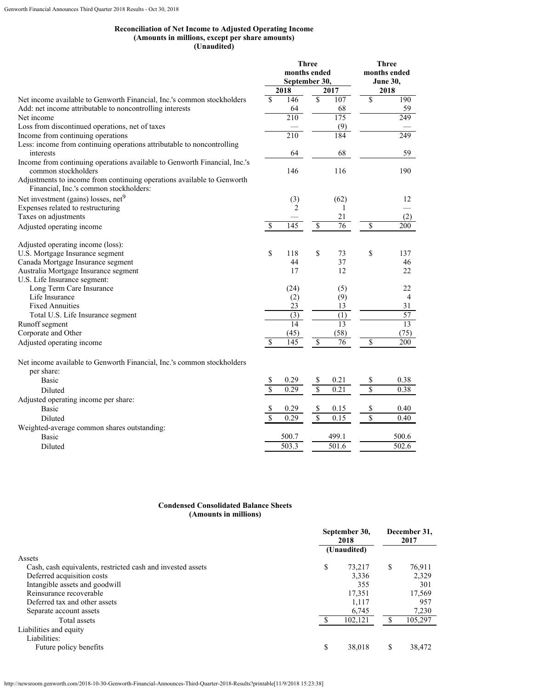# **Reconciliation of Net Income to Adjusted Operating Income (Amounts in millions, except per share amounts) (Unaudited)**

|                                                                                                                  |                          |                  | <b>Three</b>             |                   | <b>Three</b>    |
|------------------------------------------------------------------------------------------------------------------|--------------------------|------------------|--------------------------|-------------------|-----------------|
|                                                                                                                  |                          | months ended     |                          |                   | months ended    |
|                                                                                                                  | September 30,            |                  |                          | June 30,          |                 |
|                                                                                                                  |                          | 2018             |                          | 2017              | 2018            |
| Net income available to Genworth Financial, Inc.'s common stockholders                                           | $\overline{\mathcal{S}}$ | 146              | $\overline{\mathcal{S}}$ | 107               | \$<br>190       |
| Add: net income attributable to noncontrolling interests                                                         |                          | 64               |                          | 68                | 59              |
| Net income                                                                                                       |                          | 210              |                          | 175               | 249             |
| Loss from discontinued operations, net of taxes                                                                  |                          |                  |                          | (9)               |                 |
| Income from continuing operations                                                                                |                          | 210              |                          | 184               | 249             |
| Less: income from continuing operations attributable to noncontrolling                                           |                          |                  |                          |                   |                 |
| interests                                                                                                        |                          | 64               |                          | 68                | 59              |
| Income from continuing operations available to Genworth Financial, Inc.'s                                        |                          |                  |                          |                   |                 |
| common stockholders                                                                                              |                          | 146              |                          | 116               | 190             |
| Adjustments to income from continuing operations available to Genworth<br>Financial, Inc.'s common stockholders: |                          |                  |                          |                   |                 |
| Net investment (gains) losses, net <sup>9</sup>                                                                  |                          | (3)              |                          | (62)              | 12              |
| Expenses related to restructuring                                                                                |                          | $\overline{2}$   |                          | 1                 |                 |
| Taxes on adjustments                                                                                             |                          |                  |                          | 21                | (2)             |
| Adjusted operating income                                                                                        | <sup>\$</sup>            | 145              | $\overline{\mathcal{S}}$ | 76                | \$<br>200       |
|                                                                                                                  |                          |                  |                          |                   |                 |
| Adjusted operating income (loss):                                                                                |                          |                  |                          |                   |                 |
| U.S. Mortgage Insurance segment                                                                                  | \$                       | 118              | \$                       | 73                | \$<br>137       |
| Canada Mortgage Insurance segment                                                                                |                          | 44               |                          | 37                | 46              |
| Australia Mortgage Insurance segment                                                                             |                          | 17               |                          | 12                | 22              |
| U.S. Life Insurance segment:                                                                                     |                          |                  |                          |                   |                 |
| Long Term Care Insurance                                                                                         |                          | (24)             |                          | (5)               | 22              |
| Life Insurance                                                                                                   |                          | (2)              |                          | (9)               | $\overline{4}$  |
| <b>Fixed Annuities</b>                                                                                           |                          | 23               |                          | 13                | 31              |
| Total U.S. Life Insurance segment                                                                                |                          | $\overline{(3)}$ |                          | (1)               | $\overline{57}$ |
| Runoff segment                                                                                                   |                          | $\overline{14}$  |                          | $\overline{13}$   | 13              |
| Corporate and Other                                                                                              |                          | (45)             |                          | (58)              | (75)            |
| Adjusted operating income                                                                                        | S                        | 145              | \$                       | 76                | \$<br>200       |
| Net income available to Genworth Financial, Inc.'s common stockholders                                           |                          |                  |                          |                   |                 |
| per share:                                                                                                       |                          |                  |                          |                   |                 |
| Basic                                                                                                            |                          | 0.29             | \$                       | 0.21              | \$<br>0.38      |
| Diluted                                                                                                          |                          | 0.29             | $\overline{\mathcal{S}}$ | 0.21              | \$<br>0.38      |
| Adjusted operating income per share:                                                                             |                          |                  |                          |                   |                 |
| <b>Basic</b>                                                                                                     | S                        | 0.29             | \$                       | 0.15              | \$<br>0.40      |
| Diluted                                                                                                          | $\overline{\mathbf{S}}$  | 0.29             | $\overline{\mathsf{S}}$  | $0.\overline{15}$ | \$<br>0.40      |
| Weighted-average common shares outstanding:                                                                      |                          |                  |                          |                   |                 |
| <b>Basic</b>                                                                                                     |                          | 500.7            |                          | 499.1             | 500.6           |
| Diluted                                                                                                          |                          | 503.3            |                          | 501.6             | 502.6           |
|                                                                                                                  |                          |                  |                          |                   |                 |

# **Condensed Consolidated Balance Sheets (Amounts in millions)**

|                                                             | September 30,<br>2018 |             |   | December 31,<br>2017 |  |  |
|-------------------------------------------------------------|-----------------------|-------------|---|----------------------|--|--|
|                                                             |                       | (Unaudited) |   |                      |  |  |
| Assets                                                      |                       |             |   |                      |  |  |
| Cash, cash equivalents, restricted cash and invested assets | \$                    | 73,217      | S | 76,911               |  |  |
| Deferred acquisition costs                                  |                       | 3,336       |   | 2,329                |  |  |
| Intangible assets and goodwill                              |                       | 355         |   | 301                  |  |  |
| Reinsurance recoverable                                     |                       | 17,351      |   | 17,569               |  |  |
| Deferred tax and other assets                               |                       | 1,117       |   | 957                  |  |  |
| Separate account assets                                     |                       | 6,745       |   | 7,230                |  |  |
| Total assets                                                |                       | 102,121     |   | 105,297              |  |  |
| Liabilities and equity                                      |                       |             |   |                      |  |  |
| Liabilities:                                                |                       |             |   |                      |  |  |
| Future policy benefits                                      |                       | 38,018      | S | 38,472               |  |  |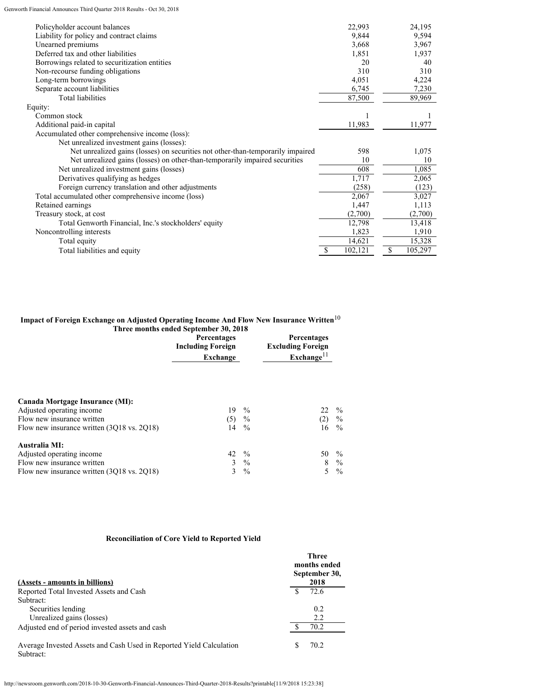| Policyholder account balances                                                   |   | 22,993  | 24,195        |
|---------------------------------------------------------------------------------|---|---------|---------------|
| Liability for policy and contract claims                                        |   | 9,844   | 9,594         |
| Unearned premiums                                                               |   | 3,668   | 3,967         |
| Deferred tax and other liabilities                                              |   | 1,851   | 1,937         |
| Borrowings related to securitization entities                                   |   | 20      | 40            |
| Non-recourse funding obligations                                                |   | 310     | 310           |
| Long-term borrowings                                                            |   | 4,051   | 4,224         |
| Separate account liabilities                                                    |   | 6,745   | 7,230         |
| <b>Total liabilities</b>                                                        |   | 87,500  | 89,969        |
| Equity:                                                                         |   |         |               |
| Common stock                                                                    |   |         |               |
| Additional paid-in capital                                                      |   | 11,983  | 11,977        |
| Accumulated other comprehensive income (loss):                                  |   |         |               |
| Net unrealized investment gains (losses):                                       |   |         |               |
| Net unrealized gains (losses) on securities not other-than-temporarily impaired |   | 598     | 1,075         |
| Net unrealized gains (losses) on other-than-temporarily impaired securities     |   | 10      | 10            |
| Net unrealized investment gains (losses)                                        |   | 608     | 1,085         |
| Derivatives qualifying as hedges                                                |   | 1,717   | 2,065         |
| Foreign currency translation and other adjustments                              |   | (258)   | (123)         |
| Total accumulated other comprehensive income (loss)                             |   | 2,067   | 3,027         |
| Retained earnings                                                               |   | 1,447   | 1,113         |
| Treasury stock, at cost                                                         |   | (2,700) | (2,700)       |
| Total Genworth Financial, Inc.'s stockholders' equity                           |   | 12,798  | 13,418        |
| Noncontrolling interests                                                        |   | 1,823   | 1,910         |
| Total equity                                                                    |   | 14,621  | 15,328        |
| Total liabilities and equity                                                    | S | 102,121 | \$<br>105,297 |
|                                                                                 |   |         |               |

# **Impact of Foreign Exchange on Adjusted Operating Income And Flow New Insurance Written**<sup>10</sup>

| Three months ended September 30, 2018                        |                                                            |               |                                                                     |               |  |  |  |
|--------------------------------------------------------------|------------------------------------------------------------|---------------|---------------------------------------------------------------------|---------------|--|--|--|
|                                                              | <b>Percentages</b><br><b>Including Foreign</b><br>Exchange |               | Percentages<br><b>Excluding Foreign</b><br>$\mathbf{Exchange}^{11}$ |               |  |  |  |
| Canada Mortgage Insurance (MI):<br>Adjusted operating income | 19                                                         | $\frac{0}{0}$ | 22                                                                  | $\%$          |  |  |  |
| Flow new insurance written                                   | (5)                                                        | $\%$          | (2)                                                                 | $\frac{0}{0}$ |  |  |  |
| Flow new insurance written (3Q18 vs. 2Q18)                   | 14                                                         | $\frac{0}{0}$ | 16                                                                  | $\frac{0}{0}$ |  |  |  |
| Australia MI:                                                |                                                            |               |                                                                     |               |  |  |  |
| Adjusted operating income                                    | 42 %                                                       |               | 50                                                                  | $\frac{0}{0}$ |  |  |  |
| Flow new insurance written                                   | 3                                                          | $\%$          | 8                                                                   | $\frac{0}{0}$ |  |  |  |
| Flow new insurance written (3Q18 vs. 2Q18)                   | 3                                                          | $\frac{0}{0}$ | 5                                                                   | $\frac{0}{0}$ |  |  |  |

# **Reconciliation of Core Yield to Reported Yield**

|                                                                                  | <b>Three</b><br>months ended<br>September 30, |
|----------------------------------------------------------------------------------|-----------------------------------------------|
| (Assets - amounts in billions)                                                   | 2018                                          |
| Reported Total Invested Assets and Cash                                          | 72.6                                          |
| Subtract:                                                                        |                                               |
| Securities lending                                                               | 0.2                                           |
| Unrealized gains (losses)                                                        | 2.2                                           |
| Adjusted end of period invested assets and cash                                  | 70.2                                          |
| Average Invested Assets and Cash Used in Reported Yield Calculation<br>Subtract: | 70.2                                          |

```
http://newsroom.genworth.com/2018-10-30-Genworth-Financial-Announces-Third-Quarter-2018-Results?printable[11/9/2018 15:23:38]
```